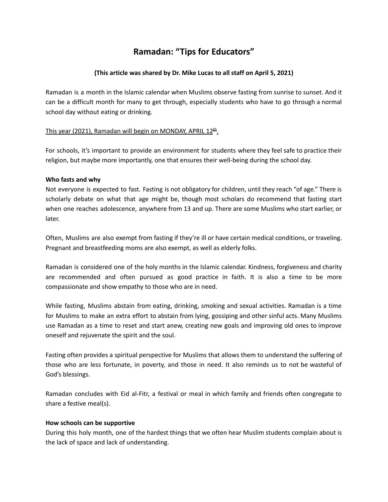# **Ramadan: "Tips for Educators"**

## **(This article was shared by Dr. Mike Lucas to all staff on April 5, 2021)**

Ramadan is a month in the Islamic calendar when Muslims observe fasting from sunrise to sunset. And it can be a difficult month for many to get through, especially students who have to go through a normal school day without eating or drinking.

## This year (2021), Ramadan will begin on MONDAY, APRIL 12<sup>th</sup>.

For schools, it's important to provide an environment for students where they feel safe to practice their religion, but maybe more importantly, one that ensures their well-being during the school day.

### **Who fasts and why**

Not everyone is expected to fast. Fasting is not obligatory for children, until they reach "of age." There is scholarly debate on what that age might be, though most scholars do recommend that fasting start when one reaches adolescence, anywhere from 13 and up. There are some Muslims who start earlier, or later.

Often, Muslims are also exempt from fasting if they're ill or have certain medical conditions, or traveling. Pregnant and breastfeeding moms are also exempt, as well as elderly folks.

Ramadan is considered one of the holy months in the Islamic calendar. Kindness, forgiveness and charity are recommended and often pursued as good practice in faith. It is also a time to be more compassionate and show empathy to those who are in need.

While fasting, Muslims abstain from eating, drinking, smoking and sexual activities. Ramadan is a time for Muslims to make an extra effort to abstain from lying, gossiping and other sinful acts. Many Muslims use Ramadan as a time to reset and start anew, creating new goals and improving old ones to improve oneself and rejuvenate the spirit and the soul.

Fasting often provides a spiritual perspective for Muslims that allows them to understand the suffering of those who are less fortunate, in poverty, and those in need. It also reminds us to not be wasteful of God's blessings.

Ramadan concludes with Eid al-Fitr, a festival or meal in which family and friends often congregate to share a festive meal(s).

### **How schools can be supportive**

During this holy month, one of the hardest things that we often hear Muslim students complain about is the lack of space and lack of understanding.